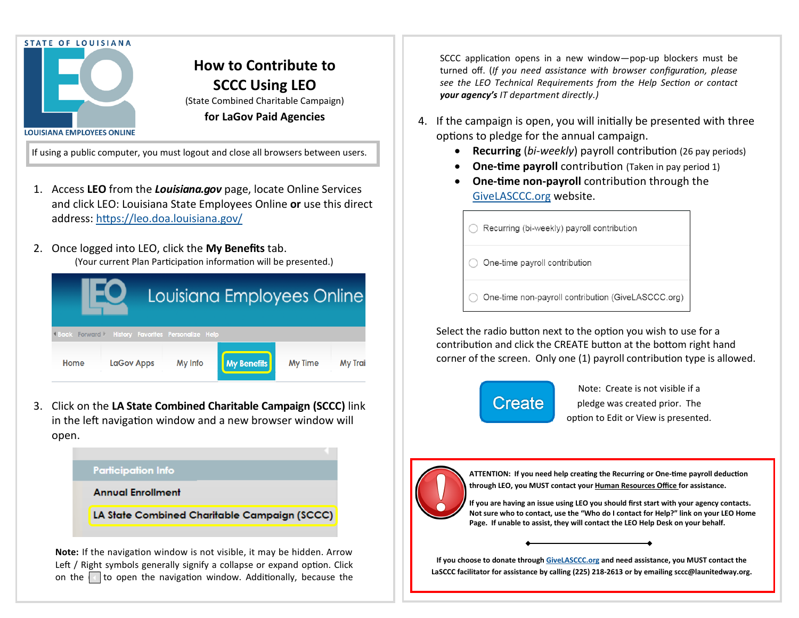

## **How to Contribute to SCCC Using LEO**

(State Combined Charitable Campaign) **for LaGov Paid Agencies**

If using a public computer, you must logout and close all browsers between users.

- 1. Access **LEO** from the *Louisiana.gov* page, locate Online Services and click LEO: Louisiana State Employees Online **or** use this direct address:<https://leo.doa.louisiana.gov/>
- 2. Once logged into LEO, click the **My Benefits** tab. (Your current Plan Participation information will be presented.)

|      |                                                            |         | Louisiana Employees Online |         |                 |
|------|------------------------------------------------------------|---------|----------------------------|---------|-----------------|
|      | <b>4 Back Forward / History Favorites Personalize Help</b> |         |                            |         |                 |
| Home | <b>LaGov Apps</b>                                          | My Info | <b>My Benefits</b>         | My Time | <b>My Trail</b> |

3. Click on the **LA State Combined Charitable Campaign (SCCC)** link in the left navigation window and a new browser window will open.



**Note:** If the navigation window is not visible, it may be hidden. Arrow Left / Right symbols generally signify a collapse or expand option. Click on the  $\Box$  to open the navigation window. Additionally, because the SCCC application opens in a new window—pop-up blockers must be turned off. (*If you need assistance with browser configuration, please see the LEO Technical Requirements from the Help Section or contact your agency's IT department directly.)* 

- 4. If the campaign is open, you will initially be presented with three options to pledge for the annual campaign.
	- **Recurring** (*bi-weekly*) payroll contribution (26 pay periods)
	- **One-time payroll** contribution (Taken in pay period 1)
	- **One-time non-payroll** contribution through the [GiveLASCCC.org](http://www.GiveLASCCC.org) website.

| Recurring (bi-weekly) payroll contribution         |  |
|----------------------------------------------------|--|
| One-time payroll contribution                      |  |
| One-time non-payroll contribution (GiveLASCCC.org) |  |

Select the radio button next to the option you wish to use for a contribution and click the CREATE button at the bottom right hand corner of the screen. Only one (1) payroll contribution type is allowed.



Note: Create is not visible if a pledge was created prior. The option to Edit or View is presented.



**ATTENTION: If you need help creating the Recurring or One-time payroll deduction through LEO, you MUST contact your Human Resources Office for assistance.**

**If you are having an issue using LEO you should first start with your agency contacts. Not sure who to contact, use the "Who do I contact for Help?" link on your LEO Home Page. If unable to assist, they will contact the LEO Help Desk on your behalf.**

**If you choose to donate through [GiveLASCCC.org](http://www.givelasccc.org/) and need assistance, you MUST contact the LaSCCC facilitator for assistance by calling (225) 218-2613 or by emailing sccc@launitedway.org.**